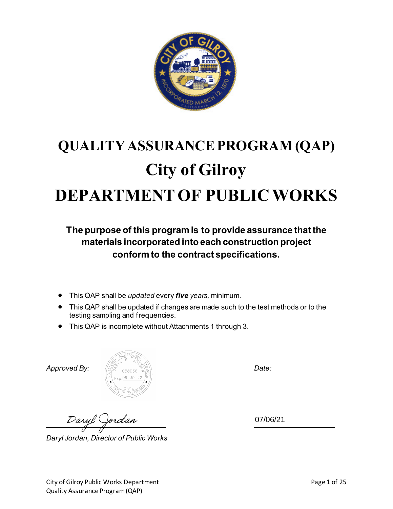

# **QUALITY ASSURANCE PROGRAM (QAP) City of Gilroy DEPARTMENT OF PUBLIC WORKS**

**The purpose of this program is to provide assurance that the materials incorporated into each construction project conform to the contract specifications.** 

- This QAP shall be *updated* every *five years,* minimum.
- This QAP shall be updated if changes are made such to the test methods or to the testing sampling and frequencies.
- This QAP is incomplete without Attachments 1 through 3.



*Daryl Jordan, Director of Public Works*

07/06/21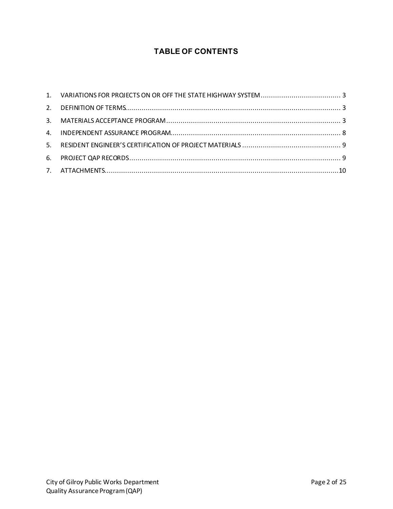# **TABLE OF CONTENTS**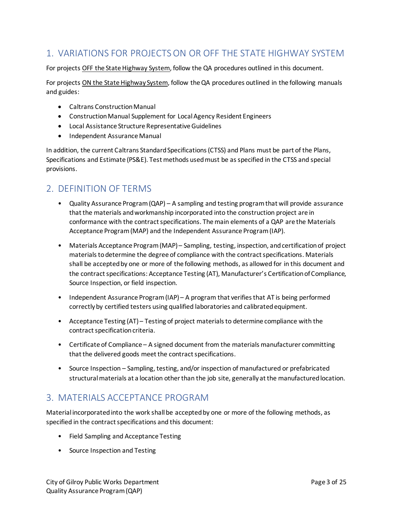# <span id="page-2-0"></span>1. VARIATIONS FOR PROJECTS ON OR OFF THE STATE HIGHWAY SYSTEM

For projects OFF the State Highway System, follow the QA procedures outlined in this document.

For projects ON the State Highway System, follow the QA procedures outlined in the following manuals and guides:

- Caltrans Construction Manual
- Construction Manual Supplement for Local Agency Resident Engineers
- Local Assistance Structure Representative Guidelines
- Independent Assurance Manual

In addition, the current Caltrans Standard Specifications (CTSS) and Plans must be part of the Plans, Specifications and Estimate (PS&E). Test methods used must be as specified in the CTSS and special provisions.

# <span id="page-2-1"></span>2. DEFINITION OF TERMS

- Quality Assurance Program (QAP) A sampling and testing program that will provide assurance that the materials and workmanship incorporated into the construction project are in conformance with the contract specifications. The main elements of a QAP are the Materials Acceptance Program (MAP) and the Independent Assurance Program(IAP).
- Materials Acceptance Program (MAP) Sampling, testing, inspection, and certification of project materials to determine the degree of compliance with the contract specifications. Materials shall be accepted by one or more of the following methods, as allowed for in this document and the contract specifications: Acceptance Testing (AT), Manufacturer's Certification of Compliance, Source Inspection, or field inspection.
- Independent Assurance Program (IAP) A program that verifies that AT is being performed correctly by certified testers using qualified laboratories and calibrated equipment.
- Acceptance Testing (AT) Testing of project materials to determine compliance with the contract specification criteria.
- Certificate of Compliance A signed document from the materials manufacturer committing that the delivered goods meet the contract specifications.
- Source Inspection Sampling, testing, and/or inspection of manufactured or prefabricated structural materials at a location other than the job site, generally at the manufactured location.

# <span id="page-2-2"></span>3. MATERIALS ACCEPTANCE PROGRAM

Material incorporated into the work shall be accepted by one or more of the following methods, as specified in the contract specifications and this document:

- Field Sampling and Acceptance Testing
- Source Inspection and Testing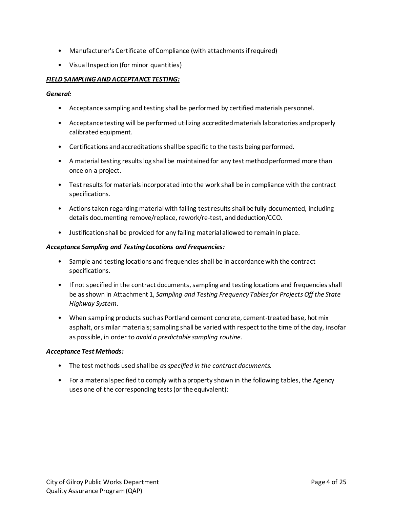- Manufacturer's Certificate of Compliance (with attachments if required)
- Visual Inspection (for minor quantities)

## *FIELD SAMPLING AND ACCEPTANCE TESTING:*

*General:*

- Acceptance sampling and testing shall be performed by certified materials personnel.
- Acceptance testing will be performed utilizing accredited materials laboratories and properly calibrated equipment.
- Certifications and accreditations shall be specific to the tests being performed.
- A material testing results log shall be maintained for any test method performed more than once on a project.
- Test results for materials incorporated into the work shall be in compliance with the contract specifications.
- Actions taken regarding material with failing test results shall be fully documented, including details documenting remove/replace, rework/re-test, and deduction/CCO.
- Justification shall be provided for any failing material allowed to remain in place.

#### *Acceptance Sampling and Testing Locations and Frequencies:*

- Sample and testing locations and frequencies shall be in accordance with the contract specifications.
- If not specified in the contract documents, sampling and testing locations and frequencies shall be as shown in Attachment 1, *Sampling and Testing Frequency Tables for Projects Off the State Highway System*.
- When sampling products such as Portland cement concrete, cement-treated base, hot mix asphalt, or similar materials; sampling shall be varied with respect to the time of the day, insofar as possible, in order to *avoid a predictable sampling routine.*

## *Acceptance Test Methods:*

- The test methods used shall be *as specified in the contract documents.*
- For a material specified to comply with a property shown in the following tables, the Agency uses one of the corresponding tests (or the equivalent):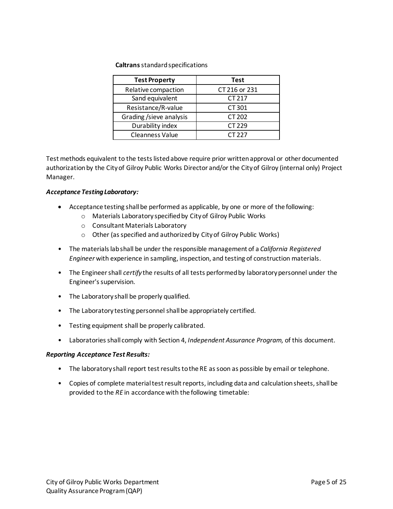#### **Caltrans** standard specifications

| <b>Test Property</b>   | Test          |
|------------------------|---------------|
| Relative compaction    | CT 216 or 231 |
| Sand equivalent        | CT 217        |
| Resistance/R-value     | CT 301        |
| Grading/sieve analysis | CT 202        |
| Durability index       | CT 229        |
| <b>Cleanness Value</b> | CT 227        |

Test methods equivalent to the tests listed above require prior written approval or other documented authorization by the City of Gilroy Public Works Director and/or the City of Gilroy (internal only) Project Manager.

#### *Acceptance Testing Laboratory:*

- Acceptance testing shall be performed as applicable, by one or more of the following:
	- o Materials Laboratory specified by City of Gilroy Public Works
	- o Consultant Materials Laboratory
	- o Other (as specified and authorized by City of Gilroy Public Works)
- The materials lab shall be under the responsible management of a *California Registered Engineer* with experience in sampling, inspection, and testing of construction materials.
- The Engineer shall *certify* the results of all tests performed by laboratory personnel under the Engineer's supervision.
- The Laboratory shall be properly qualified.
- The Laboratory testing personnel shall be appropriately certified.
- Testing equipment shall be properly calibrated.
- Laboratories shall comply with Section 4, *Independent Assurance Program,* of this document.

#### *Reporting Acceptance Test Results:*

- The laboratory shall report test results to the RE as soon as possible by email or telephone.
- Copies of complete material test result reports, including data and calculation sheets, shall be provided to the *RE* in accordance with the following timetable: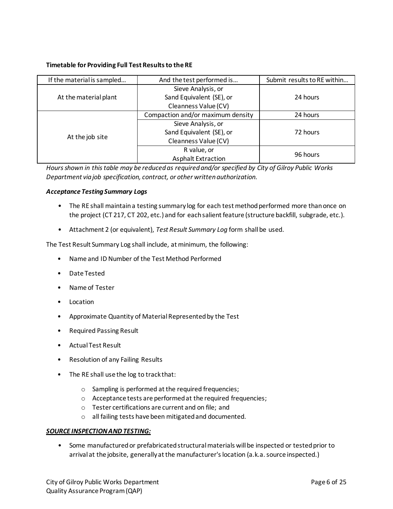#### **Timetable for Providing Full Test Results to the RE**

| If the material is sampled | And the test performed is         | Submit results to RE within |  |
|----------------------------|-----------------------------------|-----------------------------|--|
|                            | Sieve Analysis, or                |                             |  |
| At the material plant      | Sand Equivalent (SE), or          | 24 hours                    |  |
|                            | Cleanness Value (CV)              |                             |  |
|                            | Compaction and/or maximum density | 24 hours                    |  |
|                            | Sieve Analysis, or                |                             |  |
|                            | Sand Equivalent (SE), or          | 72 hours                    |  |
| At the job site            | Cleanness Value (CV)              |                             |  |
|                            | R value, or                       |                             |  |
|                            | <b>Asphalt Extraction</b>         | 96 hours                    |  |

*Hours shown in this table may be reduced as required and/or specified by City of Gilroy Public Works Department via job specification, contract, or other written authorization.*

#### *Acceptance Testing Summary Logs*

- The RE shall maintain a testing summary log for each test method performed more than once on the project (CT 217, CT 202, etc.) and for each salient feature (structure backfill, subgrade, etc.).
- Attachment 2 (or equivalent), *Test Result Summary Log* form shall be used.

The Test Result Summary Log shall include, at minimum, the following:

- Name and ID Number of the Test Method Performed
- Date Tested
- Name of Tester
- Location
- Approximate Quantity of Material Represented by the Test
- Required Passing Result
- Actual Test Result
- Resolution of any Failing Results
- The RE shall use the log to track that:
	- o Sampling is performed at the required frequencies;
	- o Acceptance tests are performed at the required frequencies;
	- o Tester certifications are current and on file; and
	- o all failing tests have been mitigated and documented.

#### *SOURCE INSPECTION AND TESTING:*

• Some manufactured or prefabricated structural materials will be inspected or tested prior to arrival at the jobsite, generally at the manufacturer's location (a.k.a. source inspected.)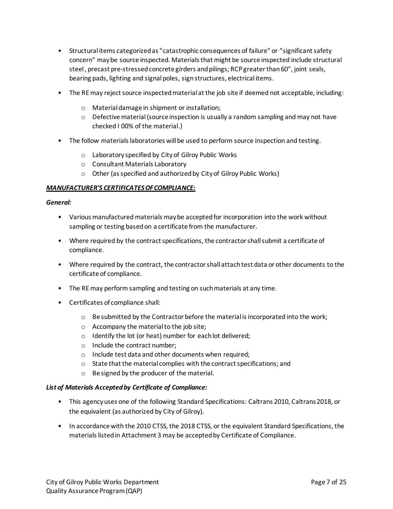- Structural items categorized as "catastrophic consequences of failure" or "significant safety concern" may be source inspected. Materials that might be source inspected include structural steel , precast pre-stressed concrete girders and pilings; RCP greater than 60", joint seals, bearing pads, lighting and signal poles, sign structures, electrical items.
- The RE may reject source inspected material at the job site if deemed not acceptable, including:
	- o Material damage in shipment or installation;
	- $\circ$  Defective material (source inspection is usually a random sampling and may not have checked I 00% of the material.)
- The follow materials laboratories will be used to perform source inspection and testing.
	- o Laboratory specified by City of Gilroy Public Works
	- o Consultant Materials Laboratory
	- o Other (as specified and authorized by City of Gilroy Public Works)

#### *MANUFACTURER'S CERTIFICATES OF COMPLIANCE:*

#### *General:*

- Various manufactured materials may be accepted for incorporation into the work without sampling or testing based on a certificate from the manufacturer.
- Where required by the contract specifications, the contractor shall submit a certificate of compliance.
- Where required by the contract, the contractor shall attach test data or other documents to the certificate of compliance.
- The RE may perform sampling and testing on such materials at any time.
- Certificates of compliance shall:
	- $\circ$  Be submitted by the Contractor before the material is incorporated into the work;
	- o Accompany the material to the job site;
	- o Identify the lot (or heat) number for each lot delivered;
	- o Include the contract number;
	- o Include test data and other documents when required;
	- o State that the material complies with the contract specifications; and
	- o Be signed by the producer of the material.

#### *List of Materials Accepted by Certificate of Compliance:*

- This agency uses one of the following Standard Specifications: Caltrans 2010, Caltrans 2018, or the equivalent (as authorized by City of Gilroy).
- In accordance with the 2010 CTSS, the 2018 CTSS, or the equivalent Standard Specifications, the materials listed in Attachment 3 may be accepted by Certificate of Compliance.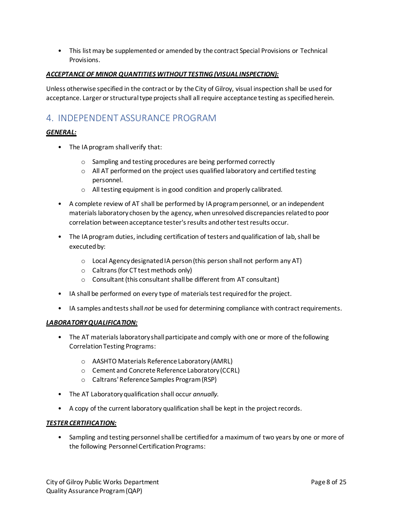• This list may be supplemented or amended by the contract Special Provisions or Technical Provisions.

#### *ACCEPTANCE OF MINOR QUANTITIES WITHOUT TESTING (VISUAL INSPECTION):*

Unless otherwise specified in the contract or by the City of Gilroy, visual inspection shall be used for acceptance. Larger or structural type projects shall all require acceptance testing as specified herein.

# <span id="page-7-0"></span>4. INDEPENDENT ASSURANCE PROGRAM

## *GENERAL:*

- The IA program shall verify that:
	- o Sampling and testing procedures are being performed correctly
	- $\circ$  All AT performed on the project uses qualified laboratory and certified testing personnel.
	- o All testing equipment is in good condition and properly calibrated.
- A complete review of AT shall be performed by IA program personnel, or an independent materials laboratory chosen by the agency, when unresolved discrepancies related to poor correlation between acceptance tester's results and other test results occur.
- The IA program duties, including certification of testers and qualification of lab, shall be executed by:
	- o Local Agency designated IA person (this person shall not perform any AT)
	- o Caltrans (for CT test methods only)
	- o Consultant (this consultant shall be different from AT consultant)
- IA shall be performed on every type of materials test required for the project.
- IA samples and tests shall *not* be used for determining compliance with contract requirements.

#### *LABORATORY QUALIFICATION:*

- The AT materials laboratory shall participate and comply with one or more of the following Correlation Testing Programs:
	- o AASHTO Materials Reference Laboratory (AMRL)
	- o Cement and Concrete Reference Laboratory (CCRL)
	- o Caltrans' Reference Samples Program (RSP)
- The AT Laboratory qualification shall occur *annually.*
- A copy of the current laboratory qualification shall be kept in the project records.

#### *TESTER CERTIFICATION:*

• Sampling and testing personnel shall be certified for a maximum of two years by one or more of the following Personnel Certification Programs: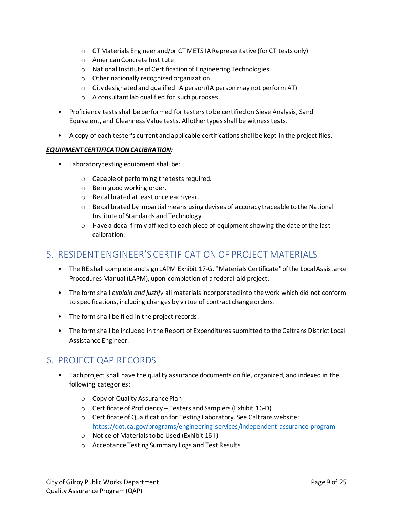- o CT Materials Engineer and/or CT METS IA Representative (for CT tests only)
- o American Concrete Institute
- o National Institute of Certification of Engineering Technologies
- o Other nationally recognized organization
- o City designated and qualified IA person (IA person may not perform AT)
- o A consultant lab qualified for such purposes.
- Proficiency tests shall be performed for testers to be certified on Sieve Analysis, Sand Equivalent, and Cleanness Value tests. All other types shall be witness tests.
- A copy of each tester's current and applicable certifications shall be kept in the project files.

## *EQUIPMENT CERTIFICATIONCALIBRATION:*

- Laboratory testing equipment shall be:
	- o Capable of performing the tests required.
	- o Be in good working order.
	- o Be calibrated at least once each year.
	- $\circ$  Be calibrated by impartial means using devises of accuracy traceable to the National Institute of Standards and Technology.
	- $\circ$  Have a decal firmly affixed to each piece of equipment showing the date of the last calibration.

# <span id="page-8-0"></span>5. RESIDENT ENGINEER'S CERTIFICATION OF PROJECT MATERIALS

- The RE shall complete and sign LAPM Exhibit 17-G, "Materials Certificate" of the Local Assistance Procedures Manual (LAPM), upon completion of a federal-aid project.
- The form shall *explain and justify* all materials incorporated into the work which did not conform to specifications, including changes by virtue of contract change orders.
- The form shall be filed in the project records.
- The form shall be included in the Report of Expenditures submitted to the Caltrans District Local Assistance Engineer.

# <span id="page-8-1"></span>6. PROJECT QAP RECORDS

- Each project shall have the quality assurance documents on file, organized, and indexed in the following categories:
	- o Copy of Quality Assurance Plan
	- o Certificate of Proficiency Testers and Samplers (Exhibit 16-D)
	- o Certificate of Qualification for Testing Laboratory. See Caltrans website: <https://dot.ca.gov/programs/engineering-services/independent-assurance-program>
	- o Notice of Materialsto be Used (Exhibit 16-I)
	- o Acceptance Testing Summary Logs and Test Results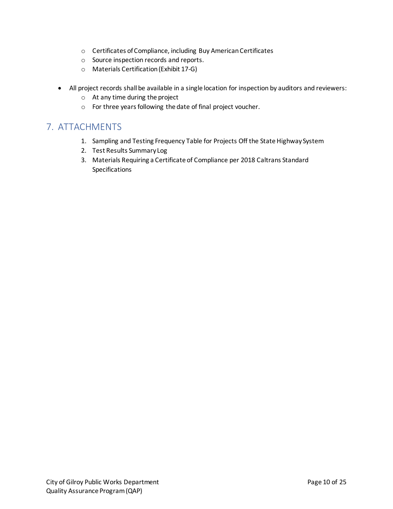- o Certificates of Compliance, including Buy American Certificates
- o Source inspection records and reports.
- o Materials Certification (Exhibit 17-G)
- All project records shall be available in a single location for inspection by auditors and reviewers:
	- o At any time during the project
	- o For three years following the date of final project voucher.

# <span id="page-9-0"></span>7. ATTACHMENTS

- 1. Sampling and Testing Frequency Table for Projects Off the State Highway System
- 2. Test Results Summary Log
- 3. Materials Requiring a Certificate of Compliance per 2018 Caltrans Standard Specifications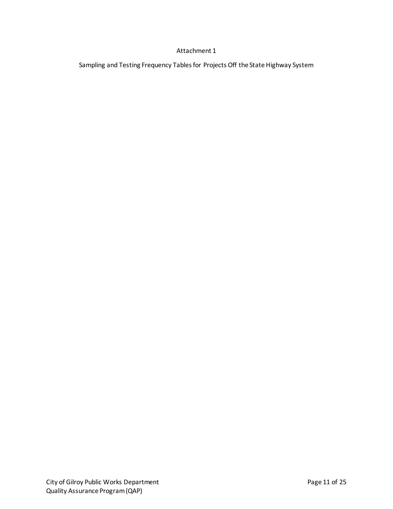## Attachment 1

Sampling and Testing Frequency Tables for Projects Off the State Highway System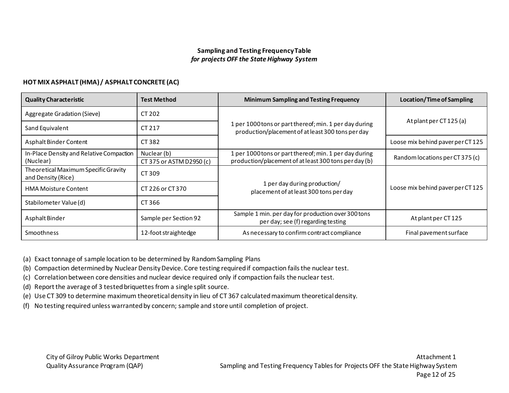# **Sampling and Testing Frequency Table** *for projects OFF the State Highway System*

## **HOT MIX ASPHALT (HMA) / ASPHALT CONCRETE (AC)**

| <b>Quality Characteristic</b>                                        | <b>Test Method</b>                      | <b>Minimum Sampling and Testing Frequency</b>                                                                   | <b>Location/Time of Sampling</b>  |  |
|----------------------------------------------------------------------|-----------------------------------------|-----------------------------------------------------------------------------------------------------------------|-----------------------------------|--|
| Aggregate Gradation (Sieve)<br>CT 202                                |                                         |                                                                                                                 |                                   |  |
| Sand Equivalent                                                      | CT 217                                  | 1 per 1000 tons or part thereof; min. 1 per day during<br>production/placement of at least 300 tons per day     | At plant per CT 125 (a)           |  |
| Asphalt Binder Content                                               | CT 382                                  |                                                                                                                 | Loose mix behind paver per CT 125 |  |
| In-Place Density and Relative Compaction<br>(Nuclear)                | Nuclear (b)<br>CT 375 or ASTM D2950 (c) | 1 per 1000 tons or part thereof; min. 1 per day during<br>production/placement of at least 300 tons per day (b) | Random locations per CT 375 (c)   |  |
| Theoretical Maximum Specific Gravity<br>CT 309<br>and Density (Rice) |                                         |                                                                                                                 |                                   |  |
| <b>HMA Moisture Content</b>                                          | CT 226 or CT 370                        | 1 per day during production/<br>placement of at least 300 tons per day                                          | Loose mix behind paver per CT 125 |  |
| Stabilometer Value (d)                                               | CT 366                                  |                                                                                                                 |                                   |  |
| Asphalt Binder                                                       | Sample per Section 92                   | Sample 1 min. per day for production over 300 tons<br>per day; see (f) regarding testing                        | At plant per CT 125               |  |
| <b>Smoothness</b>                                                    | 12-foot straightedge                    | As necessary to confirm contract compliance                                                                     | Final pavement surface            |  |

(a) Exact tonnage of sample location to be determined by Random Sampling Plans

(b) Compaction determined by Nuclear Density Device. Core testing required if compaction fails the nuclear test.

- (c) Correlation between core densities and nuclear device required only if compaction fails the nuclear test.
- (d) Report the average of 3 tested briquettes from a single split source.

(e) Use CT 309 to determine maximum theoretical density in lieu of CT 367 calculated maximum theoretical density.

(f) No testing required unless warranted by concern; sample and store until completion of project.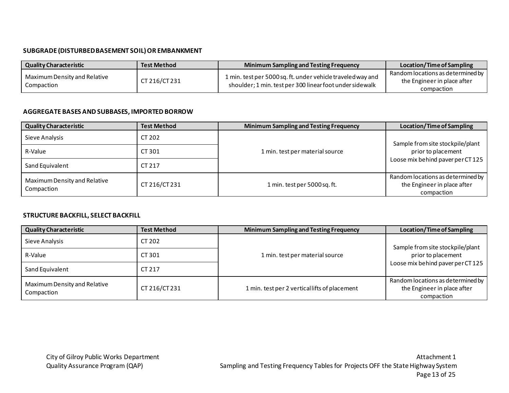# **SUBGRADE (DISTURBED BASEMENT SOIL) OR EMBANKMENT**

| <b>Quality Characteristic</b><br><b>Test Method</b> |               | <b>Minimum Sampling and Testing Frequency</b>                                                                            | Location/Time of Sampling                                                      |
|-----------------------------------------------------|---------------|--------------------------------------------------------------------------------------------------------------------------|--------------------------------------------------------------------------------|
| Maximum Density and Relative<br>Compaction          | CT 216/CT 231 | 1 min. test per 5000 sq. ft. under vehicle traveled way and<br>shoulder; 1 min. test per 300 linear foot under side walk | Random locations as determined by<br>the Engineer in place after<br>compaction |

## **AGGREGATE BASES AND SUBBASES, IMPORTED BORROW**

| <b>Test Method</b><br><b>Quality Characteristic</b>         |        | <b>Minimum Sampling and Testing Frequency</b> | Location/Time of Sampling                                                      |  |
|-------------------------------------------------------------|--------|-----------------------------------------------|--------------------------------------------------------------------------------|--|
| Sieve Analysis<br>CT 202                                    |        |                                               | Sample from site stockpile/plant                                               |  |
| R-Value                                                     | CT 301 | 1 min. test per material source               | prior to placement<br>Loose mix behind paver per CT125                         |  |
| Sand Equivalent                                             | CT 217 |                                               |                                                                                |  |
| Maximum Density and Relative<br>CT 216/CT 231<br>Compaction |        | 1 min. test per 5000 sq. ft.                  | Random locations as determined by<br>the Engineer in place after<br>compaction |  |

## **STRUCTURE BACKFILL, SELECT BACKFILL**

| <b>Quality Characteristic</b>              | <b>Test Method</b> | <b>Minimum Sampling and Testing Frequency</b> | Location/Time of Sampling                                                      |  |
|--------------------------------------------|--------------------|-----------------------------------------------|--------------------------------------------------------------------------------|--|
| CT 202<br>Sieve Analysis                   |                    |                                               | Sample from site stockpile/plant                                               |  |
| R-Value                                    | CT 301             | 1 min. test per material source               | prior to placement                                                             |  |
| Sand Equivalent                            | CT 217             |                                               | Loose mix behind paver per CT125                                               |  |
| Maximum Density and Relative<br>Compaction | CT 216/CT 231      | 1 min. test per 2 vertical lifts of placement | Random locations as determined by<br>the Engineer in place after<br>compaction |  |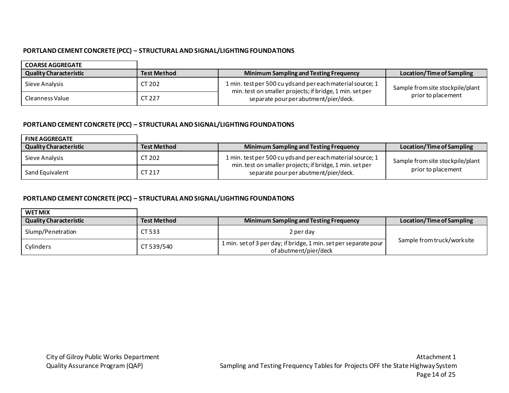# **PORTLAND CEMENT CONCRETE (PCC) – STRUCTURAL AND SIGNAL/LIGHTING FOUNDATIONS**

| <b>COARSE AGGREGATE</b>       |                    |                                                                                                                       |                                  |  |
|-------------------------------|--------------------|-----------------------------------------------------------------------------------------------------------------------|----------------------------------|--|
| <b>Quality Characteristic</b> | <b>Test Method</b> | <b>Minimum Sampling and Testing Frequency</b>                                                                         | Location/Time of Sampling        |  |
| Sieve Analysis                | CT 202             | 1 min. test per 500 cu ydsand per each material source; 1<br>min. test on smaller projects; if bridge, 1 min. set per | Sample from site stockpile/plant |  |
| Cleanness Value               | CT 227             | separate pour per abutment/pier/deck.                                                                                 | prior to placement               |  |

# **PORTLAND CEMENT CONCRETE (PCC) – STRUCTURAL AND SIGNAL/LIGHTING FOUNDATIONS**

| <b>FINE AGGREGATE</b>         |                    |                                                                                                   |                                  |  |
|-------------------------------|--------------------|---------------------------------------------------------------------------------------------------|----------------------------------|--|
| <b>Quality Characteristic</b> | <b>Test Method</b> | <b>Minimum Sampling and Testing Frequency</b>                                                     | Location/Time of Sampling        |  |
| Sieve Analysis                | CT 202             | 1 min. test per 500 cu ydsand per each material source; 1                                         | Sample from site stockpile/plant |  |
| Sand Equivalent               | CT 217             | min. test on smaller projects; if bridge, 1 min. set per<br>separate pour per abutment/pier/deck. | prior to placement               |  |

# **PORTLAND CEMENT CONCRETE (PCC) – STRUCTURAL AND SIGNAL/LIGHTING FOUNDATIONS**

| <b>WET MIX</b>                |                     |                                                                                           |                             |
|-------------------------------|---------------------|-------------------------------------------------------------------------------------------|-----------------------------|
| <b>Quality Characteristic</b> | <b>Test Method</b>  | <b>Minimum Sampling and Testing Frequency</b>                                             | Location/Time of Sampling   |
| Slump/Penetration             | CT 533<br>2 per day |                                                                                           |                             |
| CT 539/540<br>Cylinders       |                     | 1 min. set of 3 per day; if bridge, 1 min. set per separate pour<br>of abutment/pier/deck | Sample from truck/work site |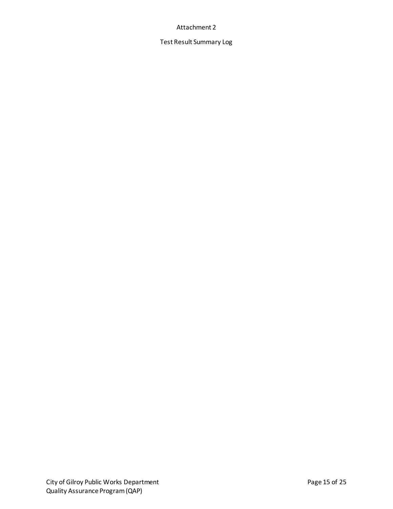#### Attachment 2

Test Result Summary Log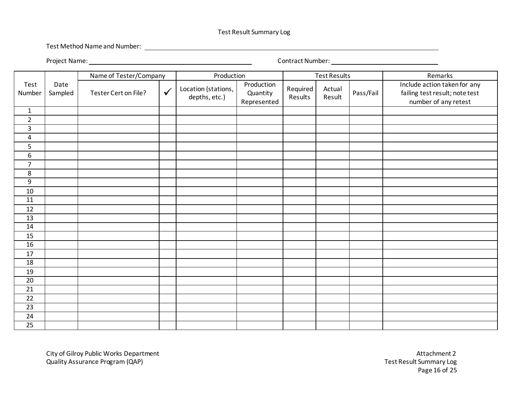#### Test Result Summary Log

Test Method Name and Number:

Project Name: Contract Number:

|                 |                 | Name of Tester/Company |              | Production                           |                                       |                     | <b>Test Results</b> |           | Remarks                                                                                |
|-----------------|-----------------|------------------------|--------------|--------------------------------------|---------------------------------------|---------------------|---------------------|-----------|----------------------------------------------------------------------------------------|
| Test<br>Number  | Date<br>Sampled | Tester Cert on File?   | $\checkmark$ | Location (stations,<br>depths, etc.) | Production<br>Quantity<br>Represented | Required<br>Results | Actual<br>Result    | Pass/Fail | Include action taken for any<br>failing test result; note test<br>number of any retest |
| $\mathbf{1}$    |                 |                        |              |                                      |                                       |                     |                     |           |                                                                                        |
| $\overline{2}$  |                 |                        |              |                                      |                                       |                     |                     |           |                                                                                        |
| $\mathbf{3}$    |                 |                        |              |                                      |                                       |                     |                     |           |                                                                                        |
| $\pmb{4}$       |                 |                        |              |                                      |                                       |                     |                     |           |                                                                                        |
| $\mathsf S$     |                 |                        |              |                                      |                                       |                     |                     |           |                                                                                        |
| $\overline{6}$  |                 |                        |              |                                      |                                       |                     |                     |           |                                                                                        |
| $\overline{7}$  |                 |                        |              |                                      |                                       |                     |                     |           |                                                                                        |
| $\,8\,$         |                 |                        |              |                                      |                                       |                     |                     |           |                                                                                        |
| $9\,$           |                 |                        |              |                                      |                                       |                     |                     |           |                                                                                        |
| 10              |                 |                        |              |                                      |                                       |                     |                     |           |                                                                                        |
| 11              |                 |                        |              |                                      |                                       |                     |                     |           |                                                                                        |
| 12              |                 |                        |              |                                      |                                       |                     |                     |           |                                                                                        |
| 13              |                 |                        |              |                                      |                                       |                     |                     |           |                                                                                        |
| 14              |                 |                        |              |                                      |                                       |                     |                     |           |                                                                                        |
| 15              |                 |                        |              |                                      |                                       |                     |                     |           |                                                                                        |
| 16              |                 |                        |              |                                      |                                       |                     |                     |           |                                                                                        |
| 17              |                 |                        |              |                                      |                                       |                     |                     |           |                                                                                        |
| 18              |                 |                        |              |                                      |                                       |                     |                     |           |                                                                                        |
| 19              |                 |                        |              |                                      |                                       |                     |                     |           |                                                                                        |
| $\overline{20}$ |                 |                        |              |                                      |                                       |                     |                     |           |                                                                                        |
| $\overline{21}$ |                 |                        |              |                                      |                                       |                     |                     |           |                                                                                        |
| 22              |                 |                        |              |                                      |                                       |                     |                     |           |                                                                                        |
| $\overline{23}$ |                 |                        |              |                                      |                                       |                     |                     |           |                                                                                        |
| 24              |                 |                        |              |                                      |                                       |                     |                     |           |                                                                                        |
| $\overline{25}$ |                 |                        |              |                                      |                                       |                     |                     |           |                                                                                        |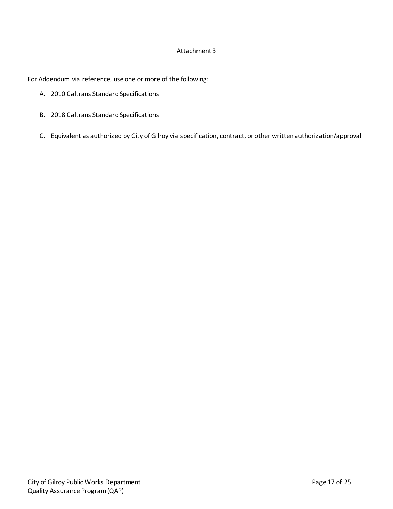#### Attachment 3

For Addendum via reference, use one or more of the following:

- A. 2010 Caltrans Standard Specifications
- B. 2018 Caltrans Standard Specifications
- C. Equivalent as authorized by City of Gilroy via specification, contract, or other written authorization/approval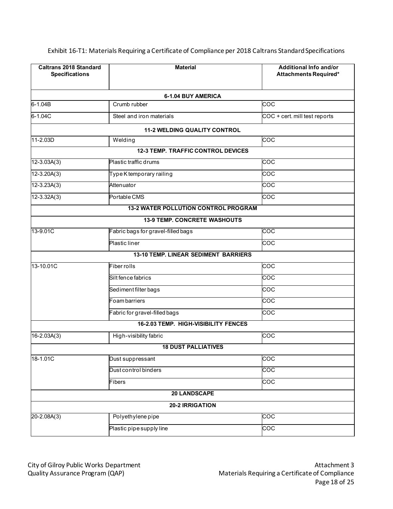| <b>Caltrans 2018 Standard</b><br><b>Specifications</b> | <b>Material</b>                             | Additional Info and/or<br>Attachments Required* |
|--------------------------------------------------------|---------------------------------------------|-------------------------------------------------|
|                                                        | 6-1.04 BUY AMERICA                          |                                                 |
| 6-1.04B                                                | Crumb rubber                                | COC                                             |
| 6-1.04C                                                | Steel and iron materials                    | COC + cert. mill test reports                   |
|                                                        | <b>11-2 WELDING QUALITY CONTROL</b>         |                                                 |
| 11-2.03D                                               | Welding                                     | COC                                             |
|                                                        | <b>12-3 TEMP. TRAFFIC CONTROL DEVICES</b>   |                                                 |
| $12 - 3.03A(3)$                                        | Plastic traffic drums                       | COC                                             |
| $12 - 3.20A(3)$                                        | Type K temporary railing                    | $\overline{\text{coc}}$                         |
| $12 - 3.23A(3)$                                        | Attenuator                                  | $\overline{\text{coc}}$                         |
| $12 - 3.32A(3)$                                        | Portable CMS                                | COC                                             |
|                                                        | <b>13-2 WATER POLLUTION CONTROL PROGRAM</b> |                                                 |
|                                                        | <b>13-9 TEMP. CONCRETE WASHOUTS</b>         |                                                 |
| 13-9.01C                                               | Fabric bags for gravel-filled bags          | $\overline{\text{coc}}$                         |
|                                                        | Plastic liner                               | COC                                             |
|                                                        | <b>13-10 TEMP. LINEAR SEDIMENT BARRIERS</b> |                                                 |
| 13-10.01C                                              | Fiber rolls                                 | COC                                             |
|                                                        | Silt fence fabrics                          | COC                                             |
|                                                        | Sediment filter bags                        | $\overline{\text{coc}}$                         |
|                                                        | Foam barriers                               | COC                                             |
|                                                        | Fabric for gravel-filled bags               | COC                                             |
|                                                        | 16-2.03 TEMP. HIGH-VISIBILITY FENCES        |                                                 |
| 16-2.03A(3)                                            | High-visibility fabric                      | COC                                             |
|                                                        | <b>18 DUST PALLIATIVES</b>                  |                                                 |
| 18-1.01C                                               | Dust suppressant                            | $\overline{c}$ oc                               |
|                                                        | Dust control binders                        | $\frac{1}{2}$                                   |
|                                                        | Fibers                                      | $\overline{c}$ oc                               |
|                                                        | <b>20 LANDSCAPE</b>                         |                                                 |
|                                                        | 20-2 IRRIGATION                             |                                                 |
| $20 - 2.08A(3)$                                        | Polyethylene pipe                           | $\frac{1}{2}$                                   |
|                                                        | Plastic pipe supply line                    | $\overline{c}$                                  |

Exhibit 16-T1: Materials Requiring a Certificate of Compliance per 2018 Caltrans Standard Specifications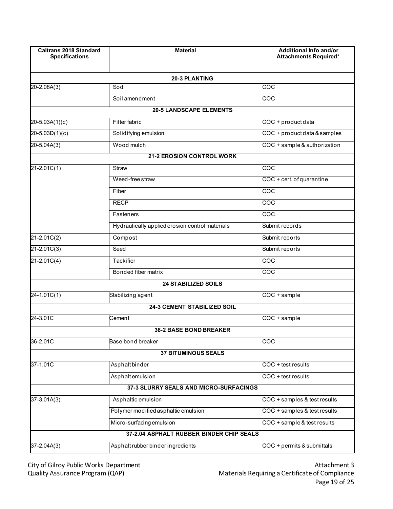| <b>Caltrans 2018 Standard</b><br><b>Specifications</b> | <b>Material</b>                                 | <b>Additional Info and/or</b><br>Attachments Required* |
|--------------------------------------------------------|-------------------------------------------------|--------------------------------------------------------|
|                                                        | <b>20-3 PLANTING</b>                            |                                                        |
| $20 - 2.08A(3)$                                        | Sod                                             | $\frac{1}{2}$                                          |
|                                                        | Soil amendment                                  | <b>COC</b>                                             |
|                                                        | <b>20-5 LANDSCAPE ELEMENTS</b>                  |                                                        |
| 20-5.03A(1)(c)                                         | Filter fabric                                   | COC + product data                                     |
| $20 - 5.03D(1)(c)$                                     | Solidifying emulsion                            | COC + product data & samples                           |
| 20-5.04A(3)                                            | Wood mulch                                      | COC + sample & authorization                           |
|                                                        | <b>21-2 EROSION CONTROL WORK</b>                |                                                        |
| $21 - 2.01C(1)$                                        | <b>Straw</b>                                    | $\overline{COC}$                                       |
|                                                        | Weed-free straw                                 | COC + cert. of quarantine                              |
|                                                        | Fiber                                           | coc                                                    |
|                                                        | <b>RECP</b>                                     | $\overline{\text{coc}}$                                |
|                                                        | Fasteners                                       | <b>COC</b>                                             |
|                                                        | Hydraulically applied erosion control materials | Submit records                                         |
| $21 - 2.01C(2)$                                        | Compost                                         | Submit reports                                         |
| $21 - 2.01C(3)$                                        | Seed                                            | Submit reports                                         |
| $21 - 2.01C(4)$                                        | Tackifier                                       | <b>COC</b>                                             |
|                                                        | Bonded fiber matrix                             | $\frac{1}{2}$                                          |
|                                                        | <b>24 STABILIZED SOILS</b>                      |                                                        |
| $24 - 1.01C(1)$                                        | Stabilizing agent                               | COC + sample                                           |
|                                                        | 24-3 CEMENT STABILIZED SOIL                     |                                                        |
| 24-3.01C                                               | Cement                                          | COC + sample                                           |
|                                                        | <b>36-2 BASE BOND BREAKER</b>                   |                                                        |
| 36-2.01C                                               | Base bond breaker                               | $\overline{COC}$                                       |
|                                                        | 37 BITUMINOUS SEALS                             |                                                        |
| 37-1.01C                                               | Asphalt binder                                  | COC + test results                                     |
|                                                        | Asphaltemulsion                                 | COC + test results                                     |
|                                                        | 37-3 SLURRY SEALS AND MICRO-SURFACINGS          |                                                        |
| 37-3.01A(3)                                            | Asphaltic emulsion                              | COC + samples & test results                           |
|                                                        | Polymer modified asphaltic emulsion             | COC + samples & test results                           |
|                                                        | Micro-surfacing emulsion                        | COC + sample & test results                            |
|                                                        | 37-2.04 ASPHALT RUBBER BINDER CHIP SEALS        |                                                        |
| 37-2.04A(3)                                            | Asphalt rubber binder ingredients               | COC + permits & submittals                             |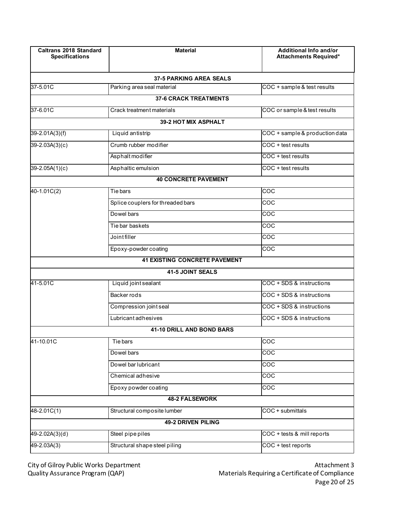| <b>Caltrans 2018 Standard</b><br><b>Specifications</b> | <b>Material</b>                      | Additional Info and/or<br><b>Attachments Required*</b> |
|--------------------------------------------------------|--------------------------------------|--------------------------------------------------------|
|                                                        | <b>37-5 PARKING AREA SEALS</b>       |                                                        |
| 37-5.01C                                               | Parking area seal material           | COC + sample & test results                            |
|                                                        | <b>37-6 CRACK TREATMENTS</b>         |                                                        |
| 37-6.01C                                               | Crack treatment materials            | COC or sample & test results                           |
|                                                        | 39-2 HOT MIX ASPHALT                 |                                                        |
| $39 - 2.01A(3)(f)$                                     | Liquid antistrip                     | COC + sample & production data                         |
| 39-2.03A(3)(c)                                         | Crumb rubber modifier                | COC + test results                                     |
|                                                        | Asphalt modifier                     | COC + test results                                     |
| 39-2.05A(1)(c)                                         | Asphaltic emulsion                   | COC + test results                                     |
|                                                        | <b>40 CONCRETE PAVEMENT</b>          |                                                        |
| 40-1.01C(2)                                            | Tie bars                             | COC                                                    |
|                                                        | Splice couplers for threaded bars    | COC                                                    |
|                                                        | Dowel bars                           | COC                                                    |
|                                                        | Tie bar baskets                      | COC                                                    |
|                                                        | Joint filler                         | COC                                                    |
|                                                        | Epoxy-powder coating                 | COC                                                    |
|                                                        | <b>41 EXISTING CONCRETE PAVEMENT</b> |                                                        |
|                                                        | 41-5 JOINT SEALS                     |                                                        |
| 41-5.01C                                               | Liquid joint sealant                 | COC + SDS & instructions                               |
|                                                        | Backer rods                          | COC + SDS & instructions                               |
|                                                        | Compression joint seal               | COC + SDS & instructions                               |
|                                                        | <b>Lubricantadhesives</b>            | COC + SDS & instructions                               |
|                                                        | <b>41-10 DRILL AND BOND BARS</b>     |                                                        |
| 41-10.01C                                              | Tie bars                             | COC                                                    |
|                                                        | Dowel bars                           | $\overline{COC}$                                       |
|                                                        | Dowel bar lubricant                  | COC                                                    |
|                                                        | Chemical adhesive                    | $\overline{COC}$                                       |
|                                                        | Epoxy powder coating                 | $\overline{c}$ oc                                      |
|                                                        | <b>48-2 FALSEWORK</b>                |                                                        |
| 48-2.01C(1)                                            | Structural composite lumber          | COC + submittals                                       |
|                                                        | 49-2 DRIVEN PILING                   |                                                        |
| 49-2.02A(3)(d)                                         | Steel pipe piles                     | COC + tests & mill reports                             |
| $49 - 2.03A(3)$                                        | Structural shape steel piling        | COC + test reports                                     |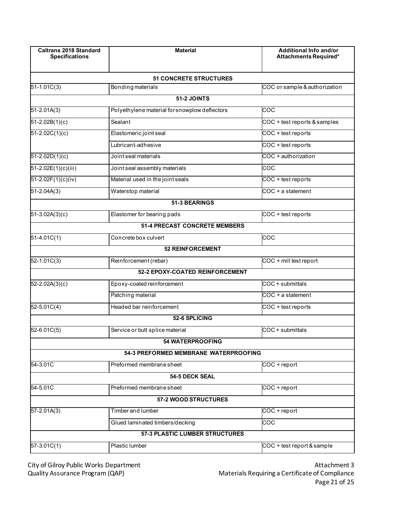| <b>Caltrans 2018 Standard</b><br><b>Specifications</b> | <b>Material</b>                               | Additional Info and/or<br>Attachments Required* |
|--------------------------------------------------------|-----------------------------------------------|-------------------------------------------------|
|                                                        | <b>51 CONCRETE STRUCTURES</b>                 |                                                 |
| $51 - 1.01C(3)$                                        | <b>Bonding materials</b>                      | COC or sample & authorization                   |
|                                                        | 51-2 JOINTS                                   |                                                 |
| $51 - 2.01A(3)$                                        | Polyethylene material for snowplow deflectors | COC                                             |
| $51 - 2.02B(1)(c)$                                     | Sealant                                       | COC + test reports & samples                    |
| $51 - 2.02C(1)(c)$                                     | Elastomeric joint seal                        | COC + test reports                              |
|                                                        | Lubricant-adhesive                            | COC + test reports                              |
| $51 - 2.02D(1)(c)$                                     | Joint seal materials                          | COC + authorization                             |
| 51-2.02E(1)(c)(iii)                                    | Joint seal assembly materials                 | coc                                             |
| $51 - 2.02F(1)(c)(iv)$                                 | Material used in the joint seals              | COC + test reports                              |
| 51-2.04A(3)                                            | Waterstop material                            | COC + a statement                               |
|                                                        | 51-3 BEARINGS                                 |                                                 |
| $51-3.02A(3)(c)$                                       | Elastomer for bearing pads                    | COC + test reports                              |
|                                                        | <b>51-4 PRECAST CONCRETE MEMBERS</b>          |                                                 |
| $51-4.01C(1)$                                          | Concrete box culvert                          | <b>COC</b>                                      |
|                                                        | <b>52 REINFORCEMENT</b>                       |                                                 |
| 52-1.01C(3)                                            | Reinforcement (rebar)                         | COC + mill test report                          |
|                                                        | 52-2 EPOXY-COATED REINFORCEMENT               |                                                 |
| 52-2.02A(3)(c)                                         | Epoxy-coated reinforcement                    | COC + submittals                                |
|                                                        | Patching material                             | COC + a statement                               |
| 52-5.01C(4)                                            | Headed bar reinforcement                      | COC + test reports                              |
|                                                        | 52-6 SPLICING                                 |                                                 |
| $52 - 6.01C(5)$                                        | Service or butt splice material               | COC + submittals                                |
|                                                        | <b>54 WATERPROOFING</b>                       |                                                 |
|                                                        | <b>54-3 PREFORMED MEMBRANE WATERPROOFING</b>  |                                                 |
| 54-3.01C                                               | Preformed membrane sheet                      | COC + report                                    |
|                                                        | 54-5 DECK SEAL                                |                                                 |
| 54-5.01C                                               | Preformed membrane sheet                      | COC + report                                    |
|                                                        | 57-2 WOOD STRUCTURES                          |                                                 |
| 57-2.01A(3)                                            | Timber and lumber                             | $COC + report$                                  |
|                                                        | Glued laminated timbers/decking               | <b>COC</b>                                      |
|                                                        | 57-3 PLASTIC LUMBER STRUCTURES                |                                                 |
| 57-3.01C(1)                                            | Plastic lumber                                | COC + test report & sample                      |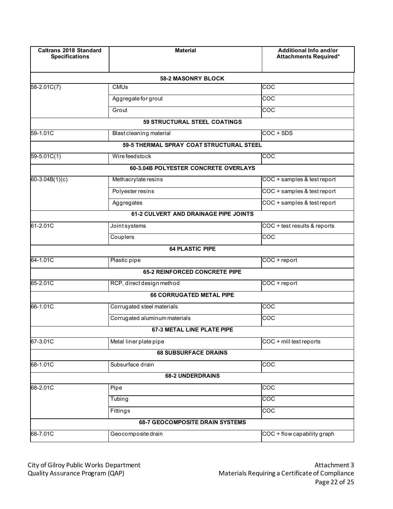| <b>Caltrans 2018 Standard</b><br><b>Specifications</b> | <b>Material</b>                          | Additional Info and/or<br>Attachments Required* |
|--------------------------------------------------------|------------------------------------------|-------------------------------------------------|
|                                                        | <b>58-2 MASONRY BLOCK</b>                |                                                 |
| $58 - 2.01C(7)$                                        | <b>CMU<sub>s</sub></b>                   | COC                                             |
|                                                        | Aggregate for grout                      | COC                                             |
|                                                        | Grout                                    | COC                                             |
|                                                        | 59 STRUCTURAL STEEL COATINGS             |                                                 |
| 59-1.01C                                               | Blast cleaning material                  | $COC + SDS$                                     |
|                                                        | 59-5 THERMAL SPRAY COAT STRUCTURAL STEEL |                                                 |
| $59 - 5.01C(1)$                                        | Wire feed stock                          | <b>COC</b>                                      |
|                                                        | 60-3.04B POLYESTER CONCRETE OVERLAYS     |                                                 |
| 60-3.04B $(1)(c)$                                      | Methacrylate resins                      | COC + samples & test report                     |
|                                                        | Polyester resins                         | COC + samples & test report                     |
|                                                        | Aggregates                               | COC + samples & test report                     |
|                                                        | 61-2 CULVERT AND DRAINAGE PIPE JOINTS    |                                                 |
| 61-2.01C                                               | Joint systems                            | COC + test results & reports                    |
|                                                        | Couplers                                 | COC                                             |
|                                                        | <b>64 PLASTIC PIPE</b>                   |                                                 |
| 64-1.01C                                               | Plastic pipe                             | COC + report                                    |
|                                                        | <b>65-2 REINFORCED CONCRETE PIPE</b>     |                                                 |
| 65-2.01C                                               | RCP, direct design method                | COC + report                                    |
|                                                        | <b>66 CORRUGATED METAL PIPE</b>          |                                                 |
| 66-1.01C                                               | Corrugated steel materials               | COC                                             |
|                                                        | Corrugated aluminum materials            | COC                                             |
|                                                        | <b>67-3 METAL LINE PLATE PIPE</b>        |                                                 |
| 67-3.01C                                               | Metal liner plate pipe                   | COC + mill test reports                         |
|                                                        | <b>68 SUBSURFACE DRAINS</b>              |                                                 |
| 68-1.01C                                               | Subsurface drain                         | COC                                             |
|                                                        | <b>68-2 UNDERDRAINS</b>                  |                                                 |
| 68-2.01C                                               | Pipe                                     | COC                                             |
|                                                        | Tubing                                   | $\overline{COC}$                                |
|                                                        | Fittings                                 | COC                                             |
|                                                        | <b>68-7 GEOCOMPOSITE DRAIN SYSTEMS</b>   |                                                 |
| 68-7.01C                                               | Geocomposite drain                       | COC + flow capability graph                     |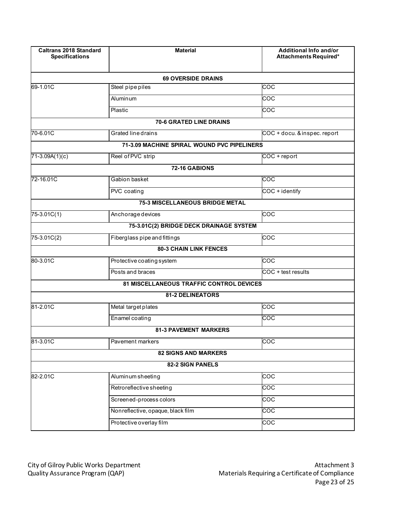| <b>Caltrans 2018 Standard</b><br><b>Specifications</b> | <b>Material</b>                             | Additional Info and/or<br>Attachments Required* |
|--------------------------------------------------------|---------------------------------------------|-------------------------------------------------|
|                                                        | <b>69 OVERSIDE DRAINS</b>                   |                                                 |
| 69-1.01C                                               | Steel pipe piles                            | $\overline{\text{coc}}$                         |
|                                                        | Aluminum                                    | <b>COC</b>                                      |
|                                                        | Plastic                                     | $\overline{c}$                                  |
|                                                        | 70-6 GRATED LINE DRAINS                     |                                                 |
| 70-6.01C                                               | Grated line drains                          | COC + docu. & inspec. report                    |
|                                                        | 71-3.09 MACHINE SPIRAL WOUND PVC PIPELINERS |                                                 |
| 71-3.09A(1)(c)                                         | Reel of PVC strip                           | COC + report                                    |
|                                                        | 72-16 GABIONS                               |                                                 |
| 72-16.01C                                              | Gabion basket                               | $\overline{\text{coc}}$                         |
|                                                        | PVC coating                                 | COC + identify                                  |
|                                                        | <b>75-3 MISCELLANEOUS BRIDGE METAL</b>      |                                                 |
| 75-3.01C(1)                                            | Anchorage devices                           | <b>COC</b>                                      |
|                                                        | 75-3.01C(2) BRIDGE DECK DRAINAGE SYSTEM     |                                                 |
| 75-3.01C(2)                                            | Fiberglass pipe and fittings                | <b>COC</b>                                      |
|                                                        | <b>80-3 CHAIN LINK FENCES</b>               |                                                 |
| 80-3.01C                                               | Protective coating system                   | <b>COC</b>                                      |
|                                                        | Posts and braces                            | COC + test results                              |
|                                                        | 81 MISCELLANEOUS TRAFFIC CONTROL DEVICES    |                                                 |
|                                                        | <b>81-2 DELINEATORS</b>                     |                                                 |
| 81-2.01C                                               | Metal target plates                         | <b>COC</b>                                      |
|                                                        | Enamel coating                              | $\overline{\text{co}}$                          |
|                                                        | <b>81-3 PAVEMENT MARKERS</b>                |                                                 |
| 81-3.01C                                               | Pavement markers                            | $\overline{\text{coc}}$                         |
|                                                        | <b>82 SIGNS AND MARKERS</b>                 |                                                 |
|                                                        | 82-2 SIGN PANELS                            |                                                 |
| 82-2.01C                                               | Aluminum sheeting                           | $\overline{c}$                                  |
|                                                        | Retroreflective sheeting                    | $\overline{\text{coc}}$                         |
|                                                        | Screened-process colors                     | $\overline{c}$ oc                               |
|                                                        | Nonreflective, opaque, black film           | $\overline{\text{coc}}$                         |
|                                                        | Protective overlay film                     | $\overline{COC}$                                |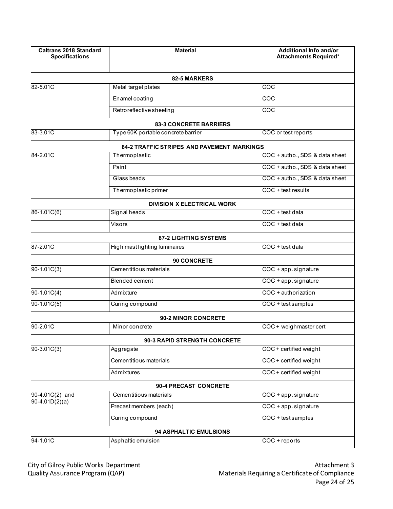| <b>Caltrans 2018 Standard</b><br><b>Specifications</b> | <b>Material</b>                                   | <b>Additional Info and/or</b><br>Attachments Required* |
|--------------------------------------------------------|---------------------------------------------------|--------------------------------------------------------|
|                                                        | 82-5 MARKERS                                      |                                                        |
| 82-5.01C                                               | Metal target plates                               | COC                                                    |
|                                                        | Enamel coating                                    | COC                                                    |
|                                                        | Retroreflective sheeting                          | $\frac{1}{2}$                                          |
|                                                        | <b>83-3 CONCRETE BARRIERS</b>                     |                                                        |
| 83-3.01C                                               | Type 60K portable concrete barrier                | COC or test reports                                    |
|                                                        | <b>84-2 TRAFFIC STRIPES AND PAVEMENT MARKINGS</b> |                                                        |
| 84-2.01C                                               | Thermoplastic                                     | COC + autho., SDS & data sheet                         |
|                                                        | Paint                                             | COC + autho., SDS & data sheet                         |
|                                                        | Glass beads                                       | COC + autho., SDS & data sheet                         |
|                                                        | Thermoplastic primer                              | COC + test results                                     |
|                                                        | <b>DIVISION X ELECTRICAL WORK</b>                 |                                                        |
| $86 - 1.01C(6)$                                        | Signal heads                                      | COC + test data                                        |
|                                                        | <b>Visors</b>                                     | COC + test data                                        |
|                                                        | <b>87-2 LIGHTING SYSTEMS</b>                      |                                                        |
| 87-2.01C                                               | High mast lighting luminaires                     | COC + test data                                        |
|                                                        | 90 CONCRETE                                       |                                                        |
| 90-1.01C(3)                                            | Cementitious materials                            | COC + app. signature                                   |
|                                                        | <b>Blended cement</b>                             | COC + app. signature                                   |
| 90-1.01C(4)                                            | Admixture                                         | COC + authorization                                    |
| 90-1.01C(5)                                            | Curing compound                                   | COC + test samples                                     |
|                                                        | <b>90-2 MINOR CONCRETE</b>                        |                                                        |
| 90-2.01C                                               | Minor concrete                                    | COC + weighmaster cert                                 |
|                                                        | 90-3 RAPID STRENGTH CONCRETE                      |                                                        |
| 90-3.01C(3)                                            | Aggregate                                         | COC + certified weight                                 |
|                                                        | Cementitious materials                            | COC + certified weight                                 |
|                                                        | Admixtures                                        | COC + certified weight                                 |
|                                                        | 90-4 PRECAST CONCRETE                             |                                                        |
| 90-4.01C(2) and                                        | Cementitious materials                            | COC + app. signature                                   |
| $90-4.01D(2)(a)$                                       | Precast members (each)                            | COC + app. signature                                   |
|                                                        | Curing compound                                   | COC + test samples                                     |
|                                                        | 94 ASPHALTIC EMULSIONS                            |                                                        |
| 94-1.01C                                               | Asphaltic emulsion                                | COC + reports                                          |